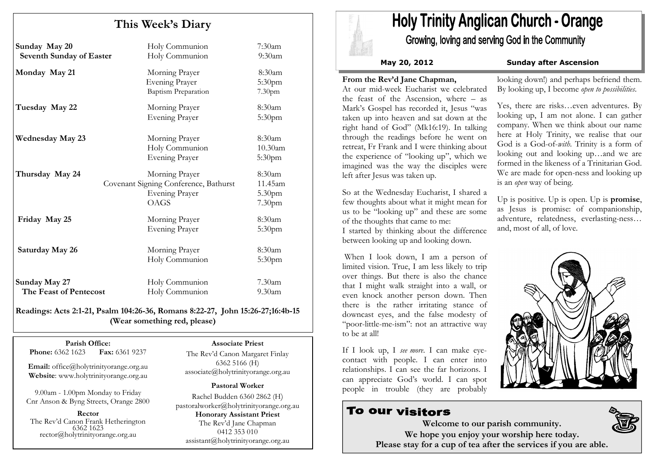# This Week's Diary

| Sunday May 20<br><b>Seventh Sunday of Easter</b> | Holy Communion<br>Holy Communion                                                         | $7:30$ am<br>$9:30$ am                                        |
|--------------------------------------------------|------------------------------------------------------------------------------------------|---------------------------------------------------------------|
| Monday May 21                                    | Morning Prayer<br><b>Evening Prayer</b><br><b>Baptism Preparation</b>                    | 8:30am<br>5:30pm<br>7.30 <sub>pm</sub>                        |
| Tuesday May 22                                   | Morning Prayer<br><b>Evening Prayer</b>                                                  | 8:30am<br>5:30pm                                              |
| <b>Wednesday May 23</b>                          | Morning Prayer<br>Holy Communion<br><b>Evening Prayer</b>                                | 8:30am<br>10.30am<br>5:30 <sub>pm</sub>                       |
| Thursday May 24                                  | Morning Prayer<br>Covenant Signing Conference, Bathurst<br><b>Evening Prayer</b><br>OAGS | 8:30am<br>11.45am<br>5.30 <sub>pm</sub><br>7.30 <sub>pm</sub> |
| Friday May 25                                    | Morning Prayer<br><b>Evening Prayer</b>                                                  | 8:30am<br>5:30 <sub>pm</sub>                                  |
| Saturday May 26                                  | Morning Prayer<br>Holy Communion                                                         | 8:30am<br>5:30 <sub>pm</sub>                                  |
| Sunday May 27<br>The Feast of Pentecost          | Holy Communion<br>Holy Communion                                                         | $7.30$ am<br>9.30am                                           |

Readings: Acts 2:1-21, Psalm 104:26-36, Romans 8:22-27, John 15:26-27;16:4b-15 (Wear something red, please)

Parish Office: Fax: 6361 9237 Phone: 6362 1623

Email: office@holytrinityorange.org.au Website: www.holytrinityorange.org.au

9.00am - 1.00pm Monday to Friday Cnr Anson & Byng Streets, Orange 2800

Rector The Rev'd Canon Frank Hetherington 6362 1623 rector@holytrinityorange.org.au

### Associate Priest

The Rev'd Canon Margaret Finlay 6362 5166 (H) associate@holytrinityorange.org.au

### Pastoral Worker

Rachel Budden 6360 2862 (H) pastoralworker@holytrinityorange.org.auHonorary Assistant Priest The Rev'd Jane Chapman 0412 353 010 assistant@holytrinityorange.org.au

# **Holy Trinity Anglican Church - Orange**

Growing, loving and serving God in the Community

## May 20, 2012 Sunday after Ascension

# From the Rev'd Jane Chapman,

 At our mid-week Eucharist we celebrated the feast of the Ascension, where – as Mark's Gospel has recorded it, Jesus "was taken up into heaven and sat down at the right hand of God" (Mk16:19). In talking through the readings before he went on retreat, Fr Frank and I were thinking about the experience of "looking up", which we imagined was the way the disciples were left after Jesus was taken up.

So at the Wednesday Eucharist, I shared a few thoughts about what it might mean for us to be "looking up" and these are some of the thoughts that came to me: I started by thinking about the difference between looking up and looking down.

When I look down, I am a person of limited vision. True, I am less likely to trip over things. But there is also the chance that I might walk straight into a wall, or even knock another person down. Then there is the rather irritating stance of downcast eyes, and the false modesty of "poor-little-me-ism": not an attractive way to be at all!

If I look up, I see more. I can make eyecontact with people. I can enter into relationships. I can see the far horizons. I can appreciate God's world. I can spot people in trouble (they are probably

# To our visitors

looking down!) and perhaps befriend them. By looking up, I become open to possibilities.

Yes, there are risks…even adventures. By looking up, I am not alone. I can gather company. When we think about our name here at Holy Trinity, we realise that our God is a God-of-with. Trinity is a form of looking out and looking up…and we are formed in the likeness of a Trinitarian God. We are made for open-ness and looking up is an open way of being.

Up is positive. Up is open. Up is **promise**, as Jesus is promise: of companionship, adventure, relatedness, everlasting-ness…and, most of all, of love.





Welcome to our parish community. We hope you enjoy your worship here today. Please stay for a cup of tea after the services if you are able.